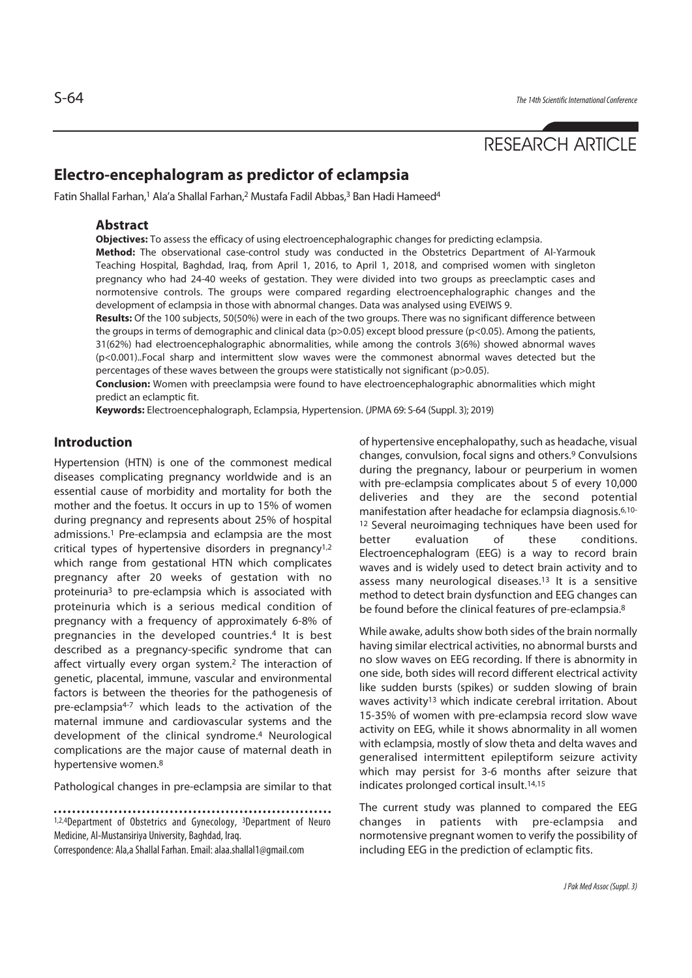# RESEARCH ARTICLE

## **Electro-encephalogram as predictor of eclampsia**

Fatin Shallal Farhan,<sup>1</sup> Ala'a Shallal Farhan,<sup>2</sup> Mustafa Fadil Abbas,<sup>3</sup> Ban Hadi Hameed<sup>4</sup>

## **Abstract**

**Objectives:** To assess the efficacy of using electroencephalographic changes for predicting eclampsia. **Method:** The observational case-control study was conducted in the Obstetrics Department of Al-Yarmouk Teaching Hospital, Baghdad, Iraq, from April 1, 2016, to April 1, 2018, and comprised women with singleton pregnancy who had 24-40 weeks of gestation. They were divided into two groups as preeclamptic cases and normotensive controls. The groups were compared regarding electroencephalographic changes and the development of eclampsia in those with abnormal changes. Data was analysed using EVEIWS 9.

**Results:** Of the 100 subjects, 50(50%) were in each of the two groups. There was no significant difference between the groups in terms of demographic and clinical data (p>0.05) except blood pressure (p<0.05). Among the patients, 31(62%) had electroencephalographic abnormalities, while among the controls 3(6%) showed abnormal waves (p<0.001)..Focal sharp and intermittent slow waves were the commonest abnormal waves detected but the percentages of these waves between the groups were statistically not significant (p>0.05).

**Conclusion:** Women with preeclampsia were found to have electroencephalographic abnormalities which might predict an eclamptic fit.

**Keywords:** Electroencephalograph, Eclampsia, Hypertension. (JPMA 69: S-64 (Suppl. 3); 2019)

## **Introduction**

Hypertension (HTN) is one of the commonest medical diseases complicating pregnancy worldwide and is an essential cause of morbidity and mortality for both the mother and the foetus. It occurs in up to 15% of women during pregnancy and represents about 25% of hospital admissions.1 Pre-eclampsia and eclampsia are the most critical types of hypertensive disorders in pregnancy1,2 which range from gestational HTN which complicates pregnancy after 20 weeks of gestation with no proteinuria3 to pre-eclampsia which is associated with proteinuria which is a serious medical condition of pregnancy with a frequency of approximately 6-8% of pregnancies in the developed countries.4 It is best described as a pregnancy-specific syndrome that can affect virtually every organ system.2 The interaction of genetic, placental, immune, vascular and environmental factors is between the theories for the pathogenesis of pre-eclampsia4-7 which leads to the activation of the maternal immune and cardiovascular systems and the development of the clinical syndrome.4 Neurological complications are the major cause of maternal death in hypertensive women.8

Pathological changes in pre-eclampsia are similar to that

1,2,4Department of Obstetrics and Gynecology, 3Department of Neuro Medicine, Al-Mustansiriya University, Baghdad, Iraq.

Correspondence: Ala,a Shallal Farhan. Email: alaa.shallal1@gmail.com

of hypertensive encephalopathy, such as headache, visual changes, convulsion, focal signs and others.9 Convulsions during the pregnancy, labour or peurperium in women with pre-eclampsia complicates about 5 of every 10,000 deliveries and they are the second potential manifestation after headache for eclampsia diagnosis.6,10- 12 Several neuroimaging techniques have been used for better evaluation of these conditions. Electroencephalogram (EEG) is a way to record brain waves and is widely used to detect brain activity and to assess many neurological diseases.13 It is a sensitive method to detect brain dysfunction and EEG changes can be found before the clinical features of pre-eclampsia.<sup>8</sup>

While awake, adults show both sides of the brain normally having similar electrical activities, no abnormal bursts and no slow waves on EEG recording. If there is abnormity in one side, both sides will record different electrical activity like sudden bursts (spikes) or sudden slowing of brain waves activity<sup>13</sup> which indicate cerebral irritation. About 15-35% of women with pre-eclampsia record slow wave activity on EEG, while it shows abnormality in all women with eclampsia, mostly of slow theta and delta waves and generalised intermittent epileptiform seizure activity which may persist for 3-6 months after seizure that indicates prolonged cortical insult.14,15

The current study was planned to compared the EEG changes in patients with pre-eclampsia and normotensive pregnant women to verify the possibility of including EEG in the prediction of eclamptic fits.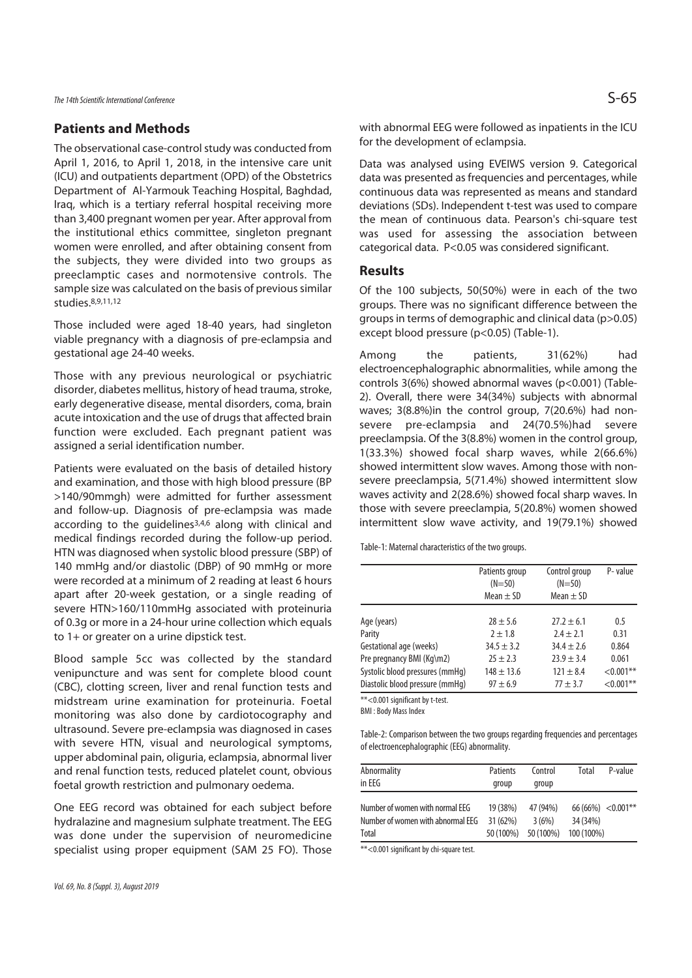## **Patients and Methods**

The observational case-control study was conducted from April 1, 2016, to April 1, 2018, in the intensive care unit (ICU) and outpatients department (OPD) of the Obstetrics Department of Al-Yarmouk Teaching Hospital, Baghdad, Iraq, which is a tertiary referral hospital receiving more than 3,400 pregnant women per year. After approval from the institutional ethics committee, singleton pregnant women were enrolled, and after obtaining consent from the subjects, they were divided into two groups as preeclamptic cases and normotensive controls. The sample size was calculated on the basis of previous similar studies.8,9,11,12

Those included were aged 18-40 years, had singleton viable pregnancy with a diagnosis of pre-eclampsia and gestational age 24-40 weeks.

Those with any previous neurological or psychiatric disorder, diabetes mellitus, history of head trauma, stroke, early degenerative disease, mental disorders, coma, brain acute intoxication and the use of drugs that affected brain function were excluded. Each pregnant patient was assigned a serial identification number.

Patients were evaluated on the basis of detailed history and examination, and those with high blood pressure (BP >140/90mmgh) were admitted for further assessment and follow-up. Diagnosis of pre-eclampsia was made according to the guidelines3,4,6 along with clinical and medical findings recorded during the follow-up period. HTN was diagnosed when systolic blood pressure (SBP) of 140 mmHg and/or diastolic (DBP) of 90 mmHg or more were recorded at a minimum of 2 reading at least 6 hours apart after 20-week gestation, or a single reading of severe HTN>160/110mmHg associated with proteinuria of 0.3g or more in a 24-hour urine collection which equals to 1+ or greater on a urine dipstick test.

Blood sample 5cc was collected by the standard venipuncture and was sent for complete blood count (CBC), clotting screen, liver and renal function tests and midstream urine examination for proteinuria. Foetal monitoring was also done by cardiotocography and ultrasound. Severe pre-eclampsia was diagnosed in cases with severe HTN, visual and neurological symptoms, upper abdominal pain, oliguria, eclampsia, abnormal liver and renal function tests, reduced platelet count, obvious foetal growth restriction and pulmonary oedema.

One EEG record was obtained for each subject before hydralazine and magnesium sulphate treatment. The EEG was done under the supervision of neuromedicine specialist using proper equipment (SAM 25 FO). Those with abnormal EEG were followed as inpatients in the ICU for the development of eclampsia.

Data was analysed using EVEIWS version 9. Categorical data was presented as frequencies and percentages, while continuous data was represented as means and standard deviations (SDs). Independent t-test was used to compare the mean of continuous data. Pearson's chi-square test was used for assessing the association between categorical data. P<0.05 was considered significant.

#### **Results**

Of the 100 subjects, 50(50%) were in each of the two groups. There was no significant difference between the groups in terms of demographic and clinical data (p>0.05) except blood pressure (p<0.05) (Table-1).

Among the patients, 31(62%) had electroencephalographic abnormalities, while among the controls 3(6%) showed abnormal waves (p<0.001) (Table-2). Overall, there were 34(34%) subjects with abnormal waves; 3(8.8%)in the control group, 7(20.6%) had nonsevere pre-eclampsia and 24(70.5%)had severe preeclampsia. Of the 3(8.8%) women in the control group, 1(33.3%) showed focal sharp waves, while 2(66.6%) showed intermittent slow waves. Among those with nonsevere preeclampsia, 5(71.4%) showed intermittent slow waves activity and 2(28.6%) showed focal sharp waves. In those with severe preeclampia, 5(20.8%) women showed intermittent slow wave activity, and 19(79.1%) showed

Table-1: Maternal characteristics of the two groups.

|                                 | Patients group<br>$(N=50)$<br>Mean $\pm$ SD | Control group<br>$(N=50)$<br>Mean $\pm$ SD | P-value      |
|---------------------------------|---------------------------------------------|--------------------------------------------|--------------|
| Age (years)                     | $28 \pm 5.6$                                | $27.2 \pm 6.1$                             | 0.5          |
| Parity                          | $2 \pm 1.8$                                 | $2.4 \pm 2.1$                              | 0.31         |
| Gestational age (weeks)         | $34.5 \pm 3.2$                              | $34.4 \pm 2.6$                             | 0.864        |
| Pre pregnancy BMI (Kg\m2)       | $25 \pm 2.3$                                | $23.9 \pm 3.4$                             | 0.061        |
| Systolic blood pressures (mmHq) | $148 \pm 13.6$                              | $121 \pm 8.4$                              | $< 0.001$ ** |
| Diastolic blood pressure (mmHq) | $97 \pm 6.9$                                | $77 + 3.7$                                 | $< 0.001$ ** |

\*\*<0.001 significant by t-test.

BMI : Body Mass Index

Table-2: Comparison between the two groups regarding frequencies and percentages of electroencephalographic (EEG) abnormality.

| Abnormality<br>in FFG             | <b>Patients</b><br>group | Control<br>group | Total                | P-value |
|-----------------------------------|--------------------------|------------------|----------------------|---------|
| Number of women with normal EEG   | 19 (38%)                 | 47 (94%)         | $66(66\%) < 0.001**$ |         |
| Number of women with abnormal EEG | 31 (62%)                 | 3(6%)            | 34 (34%)             |         |
| <b>Total</b>                      | 50 (100%)                | 50 (100%)        | 100 (100%)           |         |

\*\*<0.001 significant by chi-square test.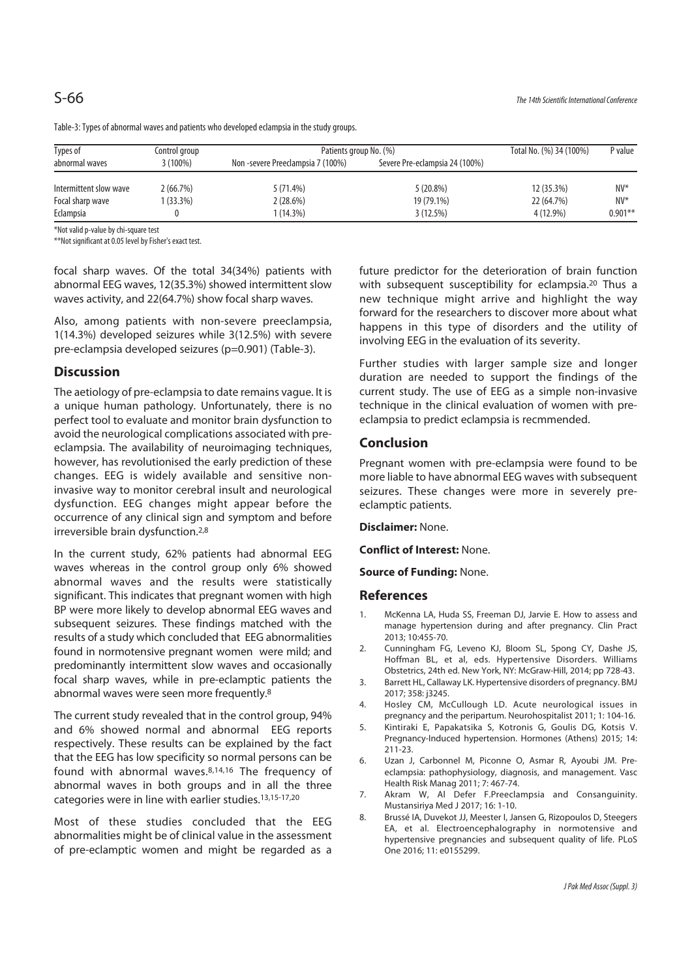| Types of               | Patients group No. (%)<br>Control group |                                   |                                | Total No. (%) 34 (100%) | P value   |
|------------------------|-----------------------------------------|-----------------------------------|--------------------------------|-------------------------|-----------|
| abnormal waves         | $3(100\%)$                              | Non -severe Preeclampsia 7 (100%) | Severe Pre-eclampsia 24 (100%) |                         |           |
| Intermittent slow wave | 2(66.7%)                                | 5(71.4%)                          | $5(20.8\%)$                    | 12 (35.3%)              | $N V^*$   |
| Focal sharp wave       | $(33.3\%)$                              | 2(28.6%)                          | 19 (79.1%)                     | 22 (64.7%)              | $N V^*$   |
| Eclampsia              |                                         | 1 (14.3%)                         | 3(12.5%)                       | 4 (12.9%)               | $0.901**$ |

Table-3: Types of abnormal waves and patients who developed eclampsia in the study groups.

\*Not valid p-value by chi-square test

\*\*Not significant at 0.05 level by Fisher's exact test.

focal sharp waves. Of the total 34(34%) patients with abnormal EEG waves, 12(35.3%) showed intermittent slow waves activity, and 22(64.7%) show focal sharp waves.

Also, among patients with non-severe preeclampsia, 1(14.3%) developed seizures while 3(12.5%) with severe pre-eclampsia developed seizures (p=0.901) (Table-3).

## **Discussion**

The aetiology of pre-eclampsia to date remains vague. It is a unique human pathology. Unfortunately, there is no perfect tool to evaluate and monitor brain dysfunction to avoid the neurological complications associated with preeclampsia. The availability of neuroimaging techniques, however, has revolutionised the early prediction of these changes. EEG is widely available and sensitive noninvasive way to monitor cerebral insult and neurological dysfunction. EEG changes might appear before the occurrence of any clinical sign and symptom and before irreversible brain dysfunction.2,8

In the current study, 62% patients had abnormal EEG waves whereas in the control group only 6% showed abnormal waves and the results were statistically significant. This indicates that pregnant women with high BP were more likely to develop abnormal EEG waves and subsequent seizures. These findings matched with the results of a study which concluded that EEG abnormalities found in normotensive pregnant women were mild; and predominantly intermittent slow waves and occasionally focal sharp waves, while in pre-eclamptic patients the abnormal waves were seen more frequently.8

The current study revealed that in the control group, 94% and 6% showed normal and abnormal EEG reports respectively. These results can be explained by the fact that the EEG has low specificity so normal persons can be found with abnormal waves.8,14,16 The frequency of abnormal waves in both groups and in all the three categories were in line with earlier studies.13,15-17,20

Most of these studies concluded that the EEG abnormalities might be of clinical value in the assessment of pre-eclamptic women and might be regarded as a

future predictor for the deterioration of brain function with subsequent susceptibility for eclampsia.<sup>20</sup> Thus a new technique might arrive and highlight the way forward for the researchers to discover more about what happens in this type of disorders and the utility of involving EEG in the evaluation of its severity.

Further studies with larger sample size and longer duration are needed to support the findings of the current study. The use of EEG as a simple non-invasive technique in the clinical evaluation of women with preeclampsia to predict eclampsia is recmmended.

### **Conclusion**

Pregnant women with pre-eclampsia were found to be more liable to have abnormal EEG waves with subsequent seizures. These changes were more in severely preeclamptic patients.

**Disclaimer:** None.

**Conflict of Interest:** None.

**Source of Funding:** None.

#### **References**

- 1. McKenna LA, Huda SS, Freeman DJ, Jarvie E. How to assess and manage hypertension during and after pregnancy. Clin Pract 2013; 10:455-70.
- 2. Cunningham FG, Leveno KJ, Bloom SL, Spong CY, Dashe JS, Hoffman BL, et al, eds. Hypertensive Disorders. Williams Obstetrics, 24th ed. New York, NY: McGraw-Hill, 2014; pp 728-43.
- 3. Barrett HL, Callaway LK. Hypertensive disorders of pregnancy. BMJ 2017; 358: j3245.
- 4. Hosley CM, McCullough LD. Acute neurological issues in pregnancy and the peripartum. Neurohospitalist 2011; 1: 104-16.
- 5. Kintiraki E, Papakatsika S, Kotronis G, Goulis DG, Kotsis V. Pregnancy-Induced hypertension. Hormones (Athens) 2015; 14: 211-23.
- 6. Uzan J, Carbonnel M, Piconne O, Asmar R, Ayoubi JM. Preeclampsia: pathophysiology, diagnosis, and management. Vasc Health Risk Manag 2011; 7: 467-74.
- 7. Akram W, Al Defer F.Preeclampsia and Consanguinity. Mustansiriya Med J 2017; 16: 1-10.
- 8. Brussé IA, Duvekot JJ, Meester I, Jansen G, Rizopoulos D, Steegers EA, et al. Electroencephalography in normotensive and hypertensive pregnancies and subsequent quality of life. PLoS One 2016; 11: e0155299.